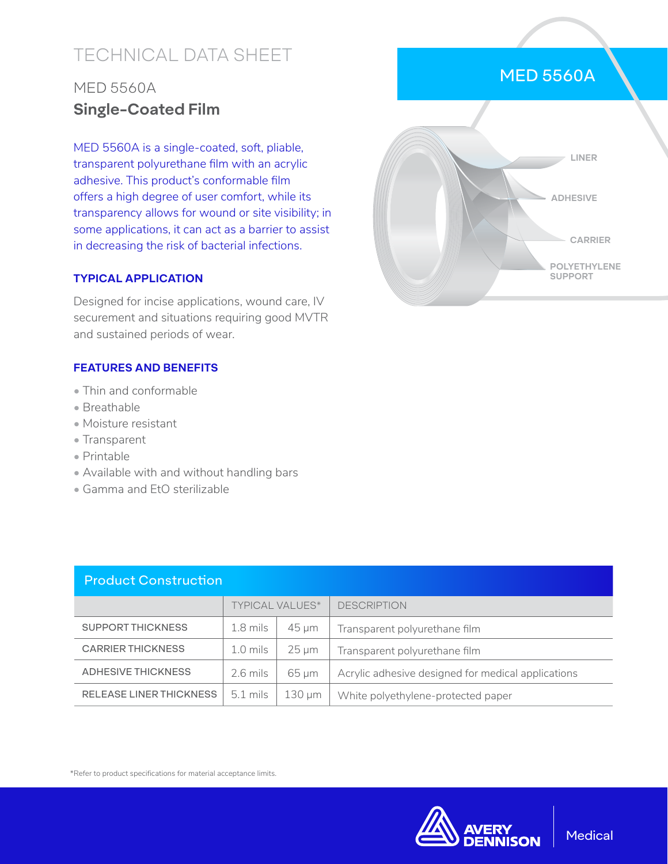# TECHNICAL DATA SHEET

## MED 5560A **Single-Coated Film**

MED 5560A is a single-coated, soft, pliable, transparent polyurethane film with an acrylic adhesive. This product's conformable film offers a high degree of user comfort, while its transparency allows for wound or site visibility; in some applications, it can act as a barrier to assist in decreasing the risk of bacterial infections.

#### **TYPICAL APPLICATION**

Designed for incise applications, wound care, IV securement and situations requiring good MVTR and sustained periods of wear.

### **FEATURES AND BENEFITS**

- Thin and conformable
- Breathable
- Moisture resistant
- Transparent
- Printable
- Available with and without handling bars
- Gamma and EtO sterilizable

| <b>Product Construction</b>    |                        |             |                                                    |  |  |
|--------------------------------|------------------------|-------------|----------------------------------------------------|--|--|
|                                | <b>TYPICAL VALUES*</b> |             | <b>DESCRIPTION</b>                                 |  |  |
| <b>SUPPORT THICKNESS</b>       | $1.8$ mils             | $45 \mu m$  | Transparent polyurethane film                      |  |  |
| <b>CARRIER THICKNESS</b>       | $1.0$ mils             | $25 \mu m$  | Transparent polyurethane film                      |  |  |
| <b>ADHESIVE THICKNESS</b>      | $2.6$ mils             | $65 \mu m$  | Acrylic adhesive designed for medical applications |  |  |
| <b>RELEASE LINER THICKNESS</b> | $5.1$ mils             | $130 \mu m$ | White polyethylene-protected paper                 |  |  |



\*Refer to product specifications for material acceptance limits.